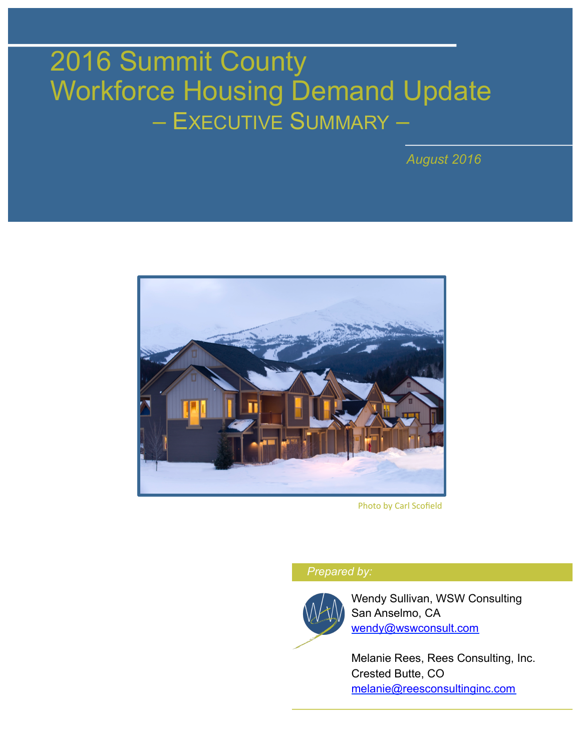# 2016 Summit County Workforce Housing Demand Update – EXECUTIVE SUMMARY –

*August 2016* 



Photo by Carl Scofield

#### *Prepared by:*



Wendy Sullivan, WSW Consulting San Anselmo, CA wendy@wswconsult.com

Melanie Rees, Rees Consulting, Inc. Crested Butte, CO melanie@reesconsultinginc.com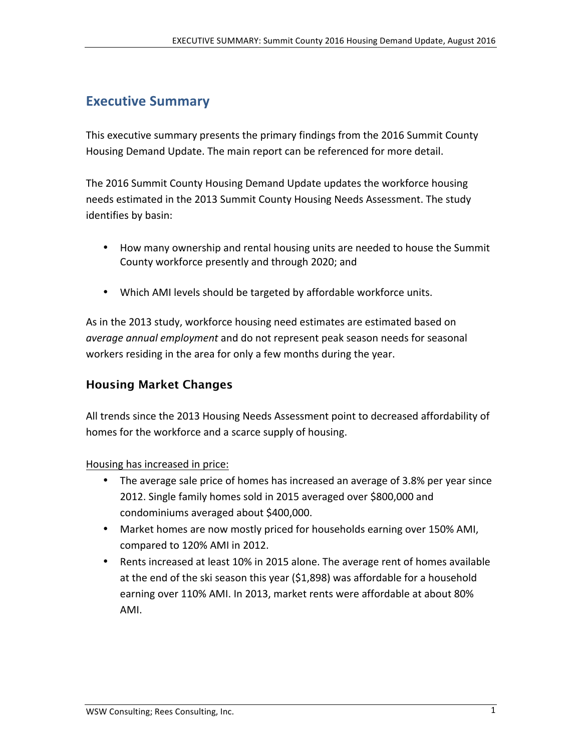## **Executive Summary**

This executive summary presents the primary findings from the 2016 Summit County Housing Demand Update. The main report can be referenced for more detail.

The 2016 Summit County Housing Demand Update updates the workforce housing needs estimated in the 2013 Summit County Housing Needs Assessment. The study identifies by basin:

- How many ownership and rental housing units are needed to house the Summit County workforce presently and through 2020; and
- Which AMI levels should be targeted by affordable workforce units.

As in the 2013 study, workforce housing need estimates are estimated based on *average annual employment* and do not represent peak season needs for seasonal workers residing in the area for only a few months during the year.

### Housing Market Changes

All trends since the 2013 Housing Needs Assessment point to decreased affordability of homes for the workforce and a scarce supply of housing.

Housing has increased in price:

- The average sale price of homes has increased an average of 3.8% per year since 2012. Single family homes sold in 2015 averaged over \$800,000 and condominiums averaged about \$400,000.
- Market homes are now mostly priced for households earning over 150% AMI, compared to 120% AMI in 2012.
- Rents increased at least 10% in 2015 alone. The average rent of homes available at the end of the ski season this year (\$1,898) was affordable for a household earning over 110% AMI. In 2013, market rents were affordable at about 80% AMI.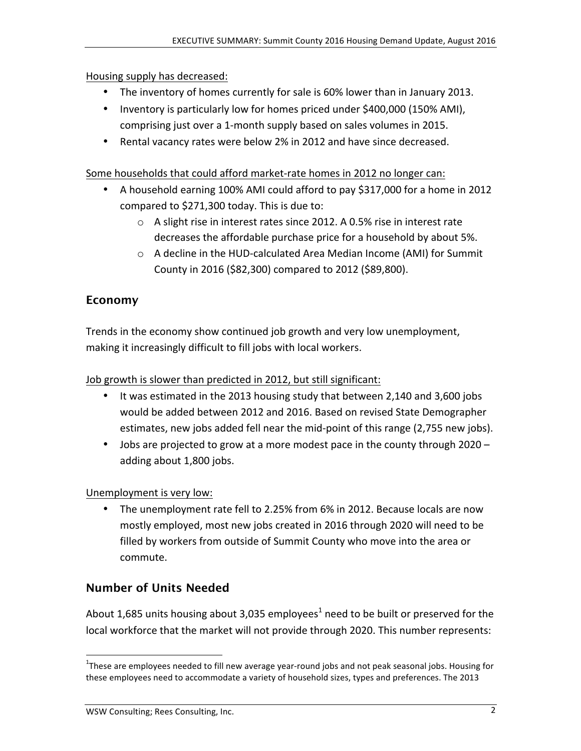Housing supply has decreased:

- The inventory of homes currently for sale is 60% lower than in January 2013.
- Inventory is particularly low for homes priced under  $$400,000$  (150% AMI), comprising just over a 1-month supply based on sales volumes in 2015.
- Rental vacancy rates were below 2% in 2012 and have since decreased.

Some households that could afford market-rate homes in 2012 no longer can:

- A household earning 100% AMI could afford to pay \$317,000 for a home in 2012 compared to  $$271,300$  today. This is due to:
	- $\circ$  A slight rise in interest rates since 2012. A 0.5% rise in interest rate decreases the affordable purchase price for a household by about 5%.
	- $\circ$  A decline in the HUD-calculated Area Median Income (AMI) for Summit County in 2016 (\$82,300) compared to 2012 (\$89,800).

## Economy

Trends in the economy show continued job growth and very low unemployment, making it increasingly difficult to fill jobs with local workers.

Job growth is slower than predicted in 2012, but still significant:

- It was estimated in the 2013 housing study that between 2,140 and 3,600 jobs would be added between 2012 and 2016. Based on revised State Demographer estimates, new jobs added fell near the mid-point of this range (2,755 new jobs).
- Jobs are projected to grow at a more modest pace in the county through 2020 adding about 1,800 jobs.

### Unemployment is very low:

The unemployment rate fell to 2.25% from 6% in 2012. Because locals are now mostly employed, most new jobs created in 2016 through 2020 will need to be filled by workers from outside of Summit County who move into the area or commute.

## Number of Units Needed

About 1,685 units housing about 3,035 employees<sup>1</sup> need to be built or preserved for the local workforce that the market will not provide through 2020. This number represents:

<sup>!!!!!!!!!!!!!!!!!!!!!!!!!!!!!!!!!!!!!!!!!!!!!!!!!!!!!!!</sup> <sup>1</sup> These(are(employees(needed(to(fill(new(average(year\round(jobs(and(not(peak(seasonal(jobs.(Housing(for( these employees need to accommodate a variety of household sizes, types and preferences. The 2013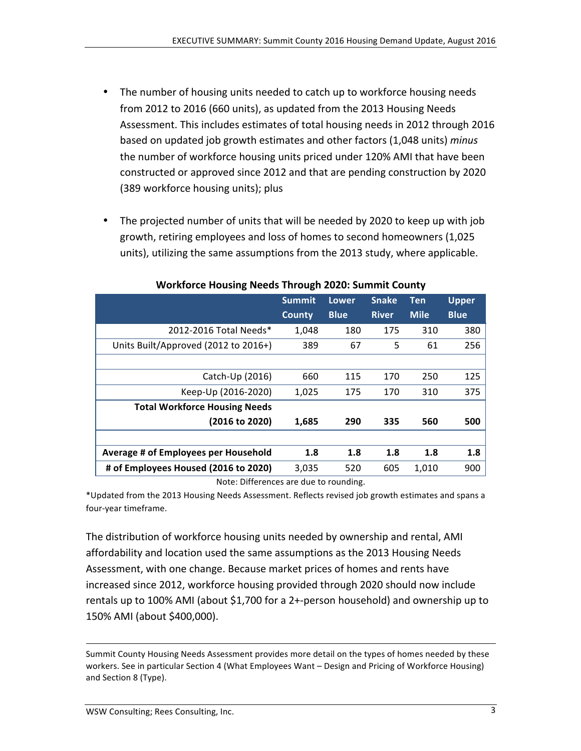- The number of housing units needed to catch up to workforce housing needs from 2012 to 2016 (660 units), as updated from the 2013 Housing Needs Assessment. This includes estimates of total housing needs in 2012 through 2016 based on updated job growth estimates and other factors (1,048 units) minus the number of workforce housing units priced under 120% AMI that have been constructed or approved since 2012 and that are pending construction by 2020 (389 workforce housing units); plus
- The projected number of units that will be needed by 2020 to keep up with job growth, retiring employees and loss of homes to second homeowners (1,025 units), utilizing the same assumptions from the 2013 study, where applicable.

|                                      | <b>Summit</b> | Lower       | <b>Snake</b> | <b>Ten</b>  | <b>Upper</b> |
|--------------------------------------|---------------|-------------|--------------|-------------|--------------|
|                                      | County        | <b>Blue</b> | <b>River</b> | <b>Mile</b> | <b>Blue</b>  |
| 2012-2016 Total Needs*               | 1,048         | 180         | 175          | 310         | 380          |
| Units Built/Approved (2012 to 2016+) | 389           | 67          | 5            | 61          | 256          |
|                                      |               |             |              |             |              |
| Catch-Up (2016)                      | 660           | 115         | 170          | 250         | 125          |
| Keep-Up (2016-2020)                  | 1,025         | 175         | 170          | 310         | 375          |
| <b>Total Workforce Housing Needs</b> |               |             |              |             |              |
| (2016 to 2020)                       | 1,685         | 290         | 335          | 560         | 500          |
|                                      |               |             |              |             |              |
| Average # of Employees per Household | 1.8           | 1.8         | 1.8          | 1.8         | 1.8          |
| # of Employees Housed (2016 to 2020) | 3,035         | 520         | 605          | 1,010       | 900          |

#### **Workforce)Housing)Needs)Through)2020: Summit)County**

Note: Differences are due to rounding.

\*Updated from the 2013 Housing Needs Assessment. Reflects revised job growth estimates and spans a four-year timeframe.

The distribution of workforce housing units needed by ownership and rental, AMI affordability and location used the same assumptions as the 2013 Housing Needs Assessment, with one change. Because market prices of homes and rents have increased since 2012, workforce housing provided through 2020 should now include rentals up to 100% AMI (about \$1,700 for a 2+-person household) and ownership up to 150% AMI (about \$400,000).

Summit County Housing Needs Assessment provides more detail on the types of homes needed by these workers. See in particular Section 4 (What Employees Want – Design and Pricing of Workforce Housing) and Section 8 (Type).

!!!!!!!!!!!!!!!!!!!!!!!!!!!!!!!!!!!!!!!!!!!!!!!!!!!!!!!!!!!!!!!!!!!!!!!!!!!!!!!!!!!!!!!!!!!!!!!!!!!!!!!!!!!!!!!!!!!!!!!!!!!!!!!!!!!!!!!!!!!!!!!!!!!!!!!!!!!!!!!!!!!!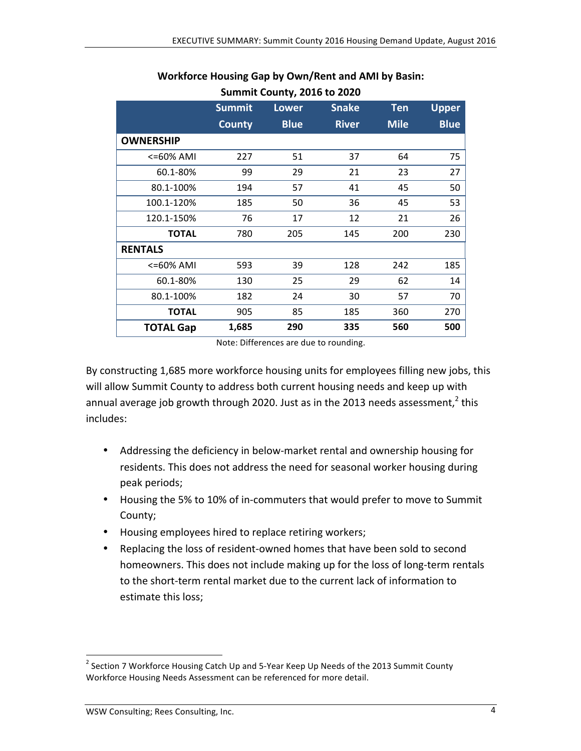|                  | <b>Summit</b> | <b>Lower</b> | <b>Snake</b> | <b>Ten</b>  | <b>Upper</b> |
|------------------|---------------|--------------|--------------|-------------|--------------|
|                  | <b>County</b> | <b>Blue</b>  | <b>River</b> | <b>Mile</b> | <b>Blue</b>  |
| <b>OWNERSHIP</b> |               |              |              |             |              |
| <=60% AMI        | 227           | 51           | 37           | 64          | 75           |
| 60.1-80%         | 99            | 29           | 21           | 23          | 27           |
| 80.1-100%        | 194           | 57           | 41           | 45          | 50           |
| 100.1-120%       | 185           | 50           | 36           | 45          | 53           |
| 120.1-150%       | 76            | 17           | 12           | 21          | 26           |
| <b>TOTAL</b>     | 780           | 205          | 145          | 200         | 230          |
| <b>RENTALS</b>   |               |              |              |             |              |
| <=60% AMI        | 593           | 39           | 128          | 242         | 185          |
| 60.1-80%         | 130           | 25           | 29           | 62          | 14           |
| 80.1-100%        | 182           | 24           | 30           | 57          | 70           |
| <b>TOTAL</b>     | 905           | 85           | 185          | 360         | 270          |
| <b>TOTAL Gap</b> | 1,685         | 290          | 335          | 560         | 500          |

#### Workforce Housing Gap by Own/Rent and AMI by Basin: **Summit County, 2016 to 2020**

Note: Differences are due to rounding.

By constructing 1,685 more workforce housing units for employees filling new jobs, this will allow Summit County to address both current housing needs and keep up with annual average job growth through 2020. Just as in the 2013 needs assessment.<sup>2</sup> this includes:

- Addressing the deficiency in below-market rental and ownership housing for residents. This does not address the need for seasonal worker housing during peak periods;
- Housing the 5% to 10% of in-commuters that would prefer to move to Summit County;
- Housing employees hired to replace retiring workers;
- Replacing the loss of resident-owned homes that have been sold to second homeowners. This does not include making up for the loss of long-term rentals to the short-term rental market due to the current lack of information to estimate this loss;

<sup>&</sup>lt;sup>2</sup> Section 7 Workforce Housing Catch Up and 5-Year Keep Up Needs of the 2013 Summit County Workforce Housing Needs Assessment can be referenced for more detail.